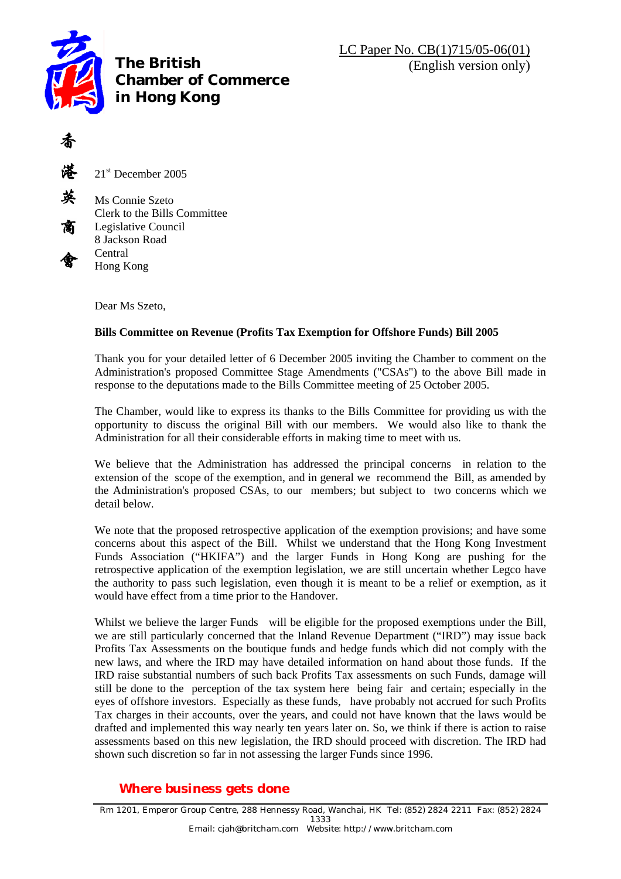

21st December 2005

香

涔

英

高

Ms Connie Szeto Clerk to the Bills Committee Legislative Council 8 Jackson Road Central Hong Kong

Dear Ms Szeto,

## **Bills Committee on Revenue (Profits Tax Exemption for Offshore Funds) Bill 2005**

Thank you for your detailed letter of 6 December 2005 inviting the Chamber to comment on the Administration's proposed Committee Stage Amendments ("CSAs") to the above Bill made in response to the deputations made to the Bills Committee meeting of 25 October 2005.

The Chamber, would like to express its thanks to the Bills Committee for providing us with the opportunity to discuss the original Bill with our members. We would also like to thank the Administration for all their considerable efforts in making time to meet with us.

We believe that the Administration has addressed the principal concerns in relation to the extension of the scope of the exemption, and in general we recommend the Bill, as amended by the Administration's proposed CSAs, to our members; but subject to two concerns which we detail below.

We note that the proposed retrospective application of the exemption provisions; and have some concerns about this aspect of the Bill. Whilst we understand that the Hong Kong Investment Funds Association ("HKIFA") and the larger Funds in Hong Kong are pushing for the retrospective application of the exemption legislation, we are still uncertain whether Legco have the authority to pass such legislation, even though it is meant to be a relief or exemption, as it would have effect from a time prior to the Handover.

Whilst we believe the larger Funds will be eligible for the proposed exemptions under the Bill, we are still particularly concerned that the Inland Revenue Department ("IRD") may issue back Profits Tax Assessments on the boutique funds and hedge funds which did not comply with the new laws, and where the IRD may have detailed information on hand about those funds. If the IRD raise substantial numbers of such back Profits Tax assessments on such Funds, damage will still be done to the perception of the tax system here being fair and certain; especially in the eyes of offshore investors. Especially as these funds, have probably not accrued for such Profits Tax charges in their accounts, over the years, and could not have known that the laws would be drafted and implemented this way nearly ten years later on. So, we think if there is action to raise assessments based on this new legislation, the IRD should proceed with discretion. The IRD had shown such discretion so far in not assessing the larger Funds since 1996.

## *Where business gets done*